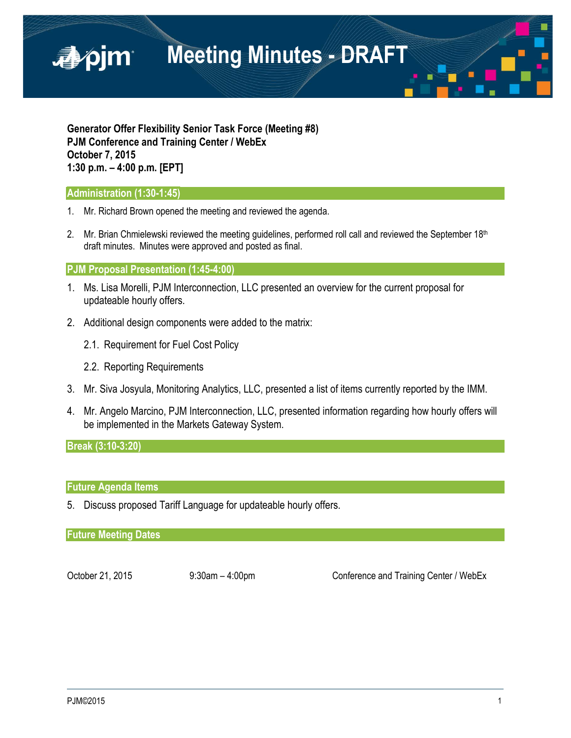

**Generator Offer Flexibility Senior Task Force (Meeting #8) PJM Conference and Training Center / WebEx October 7, 2015 1:30 p.m. – 4:00 p.m. [EPT]**

### **Administration (1:30-1:45)**

- 1. Mr. Richard Brown opened the meeting and reviewed the agenda.
- 2. Mr. Brian Chmielewski reviewed the meeting guidelines, performed roll call and reviewed the September  $18<sup>th</sup>$ draft minutes. Minutes were approved and posted as final.

#### **PJM Proposal Presentation (1:45-4:00)**

- 1. Ms. Lisa Morelli, PJM Interconnection, LLC presented an overview for the current proposal for updateable hourly offers.
- 2. Additional design components were added to the matrix:
	- 2.1. Requirement for Fuel Cost Policy
	- 2.2. Reporting Requirements
- 3. Mr. Siva Josyula, Monitoring Analytics, LLC, presented a list of items currently reported by the IMM.
- 4. Mr. Angelo Marcino, PJM Interconnection, LLC, presented information regarding how hourly offers will be implemented in the Markets Gateway System.

**Break (3:10-3:20)** 

# **Future Agenda Items**

5. Discuss proposed Tariff Language for updateable hourly offers.

**Future Meeting Dates**

October 21, 2015 9:30am – 4:00pm Conference and Training Center / WebEx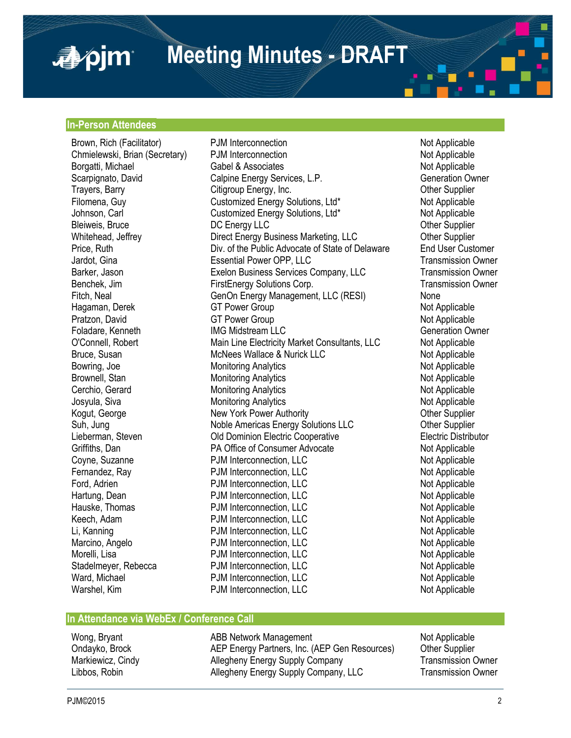**Meeting Minutes - DRAFT**

# **In-Person Attendees**

apjm

Chmielewski, Brian (Secretary) PJM Interconnection Bowring, Joe Monitoring Analytics Cerchio, Gerard Monitoring Analytics Hauske, Thomas **PJM** Interconnection, LLC

Brown, Rich (Facilitator) **PJM Interconnection** example and the Not Applicable Chmielewski, Brian (Secretary) PJM Interconnection change of Not Applicable Borgatti, Michael **Exercise School** Gabel & Associates Not Applicable Not Applicable Scarpignato, David Calpine Energy Services, L.P. Generation Owner Trayers, Barry **Citigroup Energy, Inc.** Character Communist Communist Communist Communist Communist Communist Communist Communist Communist Communist Communist Communist Communist Communist Communist Communist Communist Co Filomena, Guy Customized Energy Solutions, Ltd\* Not Applicable Johnson, Carl Customized Energy Solutions, Ltd\* Not Applicable Bleiweis, Bruce **DIC Energy LLC** Development of the Supplier Whitehead, Jeffrey **Direct Energy Business Marketing, LLC** Other Supplier Price, Ruth Div. of the Public Advocate of State of Delaware End User Customer Jardot, Gina Essential Power OPP, LLC Transmission Owner Barker, Jason **Exelon Business Services Company, LLC** Benchek, Jim FirstEnergy Solutions Corp. Transmission Owner Fitch, Neal **GenOn Energy Management, LLC (RESI)** None Hagaman, Derek GT Power Group<br>
Pratzon. David GT Power Group CT Power Group Not Applicable<br>
Not Applicable **GT Power Group** Foladare, Kenneth **IMG Midstream LLC** Generation Owner O'Connell, Robert Main Line Electricity Market Consultants, LLC Not Applicable<br>Bruce, Susan Mother Markees Wallace & Nurick LLC Bruce, Susan McNees Wallace & Nurick LLC<br>Bowring. Joe Monitoring Analytics Communications Not Applicable Brownell, Stan Monitoring Analytics and Monitoring Analytics Not Applicable Cerchio, Gerard Monitoring Analytics Cerchio, Gerard Josyula, Siva **Monitoring Analytics** Monitoring Analytics Not Applicable Kogut, George **New York Power Authority New York Power Authority New York Power Authority New York Power Authority** Suh, Jung Noble Americas Energy Solutions LLC Other Supplier **Old Dominion Electric Cooperative** Griffiths, Dan **PA Office of Consumer Advocate** Not Applicable Coyne, Suzanne **PJM Interconnection, LLC** Not Applicable Fernandez, Ray **PJM Interconnection, LLC** Not Applicable Ford, Adrien **Not Applicable** PJM Interconnection, LLC Not Applicable Hartung, Dean **National PDM Interconnection, LLC**<br>
Hauske, Thomas **National PDM Interconnection, LLC** Not Applicable Keech, Adam PJM Interconnection, LLC Not Applicable Li, Kanning **PJM** Interconnection, LLC Marcino, Angelo **Not Applicable** PJM Interconnection, LLC Not Applicable Morelli, Lisa **Notelli, Lisa** PJM Interconnection, LLC<br>
Stadelmever. Rebecca PJM Interconnection. LLC Not Applicable Stadelmeyer, Rebecca **PJM** Interconnection, LLC Ward, Michael **National PDM Interconnection, LLC**<br>
Warshel, Kim **National PDM Interconnection, LLC** Not Applicable PJM Interconnection, LLC

#### **In Attendance via WebEx / Conference Call**

Wong, Bryant **ABB Network Management** ABB Network Management Ondayko, Brock AEP Energy Partners, Inc. (AEP Gen Resources) Other Supplier Markiewicz, Cindy **Allegheny Energy Supply Company** Transmission Owner Libbos, Robin **Allegheny Energy Supply Company, LLC** Transmission Owner